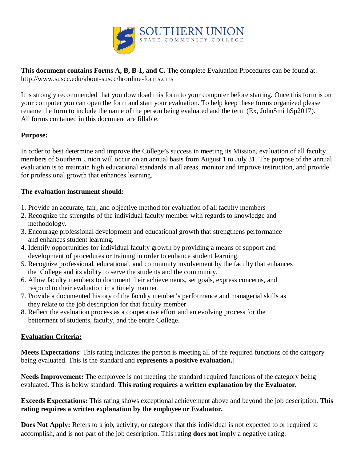

**This document contains Forms A, B, B-1, and C.** The complete Evaluation Procedures can be found at: http://www.suscc.edu/about-suscc/hronline-forms.cms

It is strongly recommended that you download this form to your computer before starting. Once this form is on your computer you can open the form and start your evaluation. To help keep these forms organized please rename the form to include the name of the person being evaluated and the term (Ex, JohnSmithSp2017). All forms contained in this document are fillable.

# **Purpose:**

In order to best determine and improve the College's success in meeting its Mission, evaluation of all faculty members of Southern Union will occur on an annual basis from August 1 to July 31. The purpose of the annual evaluation is to maintain high educational standards in all areas, monitor and improve instruction, and provide for professional growth that enhances learning.

# **The evaluation instrument should:**

- 1. Provide an accurate, fair, and objective method for evaluation of all faculty members
- 2. Recognize the strengths of the individual faculty member with regards to knowledge and methodology.
- 3. Encourage professional development and educational growth that strengthens performance and enhances student learning.
- 4. Identify opportunities for individual faculty growth by providing a means of support and development of procedures or training in order to enhance student learning.
- 5. Recognize professional, educational, and community involvement by the faculty that enhances the College and its ability to serve the students and the community.
- 6. Allow faculty members to document their achievements, set goals, express concerns, and respond to their evaluation in a timely manner.
- 7. Provide a documented history of the faculty member's performance and managerial skills as they relate to the job description for that faculty member.
- 8. Reflect the evaluation process as a cooperative effort and an evolving process for the betterment of students, faculty, and the entire College.

# **Evaluation Criteria:**

**Meets Expectations**: This rating indicates the person is meeting all of the required functions of the category being evaluated. This is the standard and **represents a positive evaluation.|**

**Needs Improvement:** The employee is not meeting the standard required functions of the category being evaluated. This is below standard. **This rating requires a written explanation by the Evaluator.** 

**Exceeds Expectations:** This rating shows exceptional achievement above and beyond the job description. **This rating requires a written explanation by the employee or Evaluator.**

**Does Not Apply:** Refers to a job, activity, or category that this individual is not expected to or required to accomplish, and is not part of the job description. This rating **does not** imply a negative rating.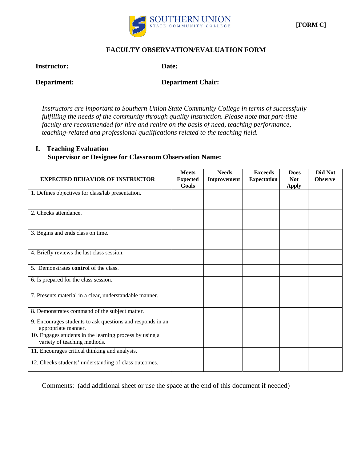

### **FACULTY OBSERVATION/EVALUATION FORM**

**Instructor: Date:**

**Department: Department Chair:** 

*Instructors are important to Southern Union State Community College in terms of successfully fulfilling the needs of the community through quality instruction. Please note that part-time faculty are recommended for hire and rehire on the basis of need, teaching performance, teaching-related and professional qualifications related to the teaching field.* 

### **I. Teaching Evaluation Supervisor or Designee for Classroom Observation Name:**

| <b>EXPECTED BEHAVIOR OF INSTRUCTOR</b>                     | <b>Meets</b><br><b>Expected</b> | <b>Needs</b><br>Improvement | <b>Exceeds</b><br><b>Expectation</b> | <b>Does</b><br><b>Not</b> | Did Not<br><b>Observe</b> |
|------------------------------------------------------------|---------------------------------|-----------------------------|--------------------------------------|---------------------------|---------------------------|
|                                                            | Goals                           |                             |                                      | <b>Apply</b>              |                           |
| 1. Defines objectives for class/lab presentation.          |                                 |                             |                                      |                           |                           |
|                                                            |                                 |                             |                                      |                           |                           |
| 2. Checks attendance.                                      |                                 |                             |                                      |                           |                           |
|                                                            |                                 |                             |                                      |                           |                           |
|                                                            |                                 |                             |                                      |                           |                           |
| 3. Begins and ends class on time.                          |                                 |                             |                                      |                           |                           |
|                                                            |                                 |                             |                                      |                           |                           |
|                                                            |                                 |                             |                                      |                           |                           |
| 4. Briefly reviews the last class session.                 |                                 |                             |                                      |                           |                           |
| 5. Demonstrates control of the class.                      |                                 |                             |                                      |                           |                           |
|                                                            |                                 |                             |                                      |                           |                           |
| 6. Is prepared for the class session.                      |                                 |                             |                                      |                           |                           |
|                                                            |                                 |                             |                                      |                           |                           |
| 7. Presents material in a clear, understandable manner.    |                                 |                             |                                      |                           |                           |
|                                                            |                                 |                             |                                      |                           |                           |
| 8. Demonstrates command of the subject matter.             |                                 |                             |                                      |                           |                           |
| 9. Encourages students to ask questions and responds in an |                                 |                             |                                      |                           |                           |
| appropriate manner.                                        |                                 |                             |                                      |                           |                           |
| 10. Engages students in the learning process by using a    |                                 |                             |                                      |                           |                           |
| variety of teaching methods.                               |                                 |                             |                                      |                           |                           |
| 11. Encourages critical thinking and analysis.             |                                 |                             |                                      |                           |                           |
| 12. Checks students' understanding of class outcomes.      |                                 |                             |                                      |                           |                           |
|                                                            |                                 |                             |                                      |                           |                           |

Comments: (add additional sheet or use the space at the end of this document if needed)